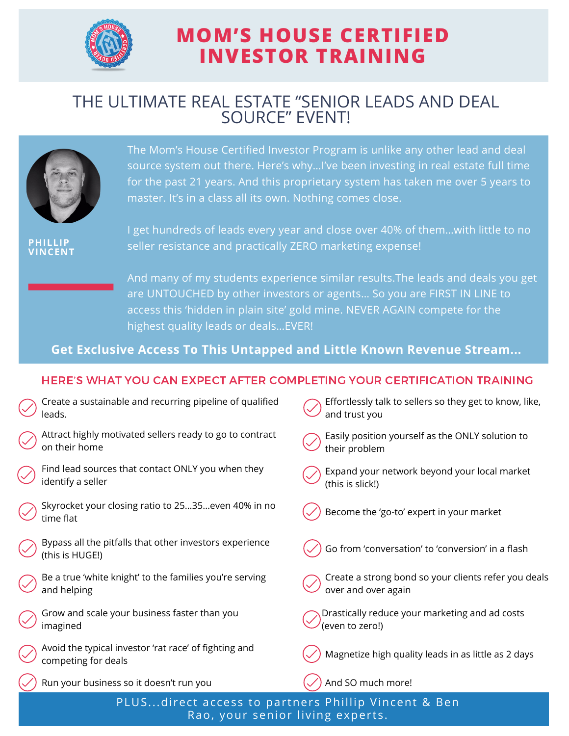

# **MOM'S HOUSE CERTIFIED INVESTOR TRAINING**

### THE ULTIMATE REAL ESTATE "SENIOR LEADS AND DEAL SOURCE" EVENT!



The Mom's House Certified Investor Program is unlike any other lead and deal source system out there. Here's why…I've been investing in real estate full time for the past 21 years. And this proprietary system has taken me over 5 years to master. It's in a class all its own. Nothing comes close.

**PHILLIP VINCENT**

I get hundreds of leads every year and close over 40% of them…with little to no seller resistance and practically ZERO marketing expense!

And many of my students experience similar results.The leads and deals you get are UNTOUCHED by other investors or agents… So you are FIRST IN LINE to access this 'hidden in plain site' gold mine. NEVER AGAIN compete for the highest quality leads or deals…EVER!

**Get Exclusive Access To This Untapped and Little Known Revenue Stream...**

#### HERE'S WHAT YOU CAN EXPECT AFTER COMPLETING YOUR CERTIFICATION TRAINING

| PLUSdirect access to partners Phillip Vincent & Ben |                                                                              |                                                                             |
|-----------------------------------------------------|------------------------------------------------------------------------------|-----------------------------------------------------------------------------|
|                                                     | Run your business so it doesn't run you                                      | And SO much more!                                                           |
|                                                     | Avoid the typical investor 'rat race' of fighting and<br>competing for deals | Magnetize high quality leads in as little as 2 days                         |
|                                                     | Grow and scale your business faster than you<br>imagined                     | Drastically reduce your marketing and ad costs<br>(even to zero!)           |
|                                                     | Be a true 'white knight' to the families you're serving<br>and helping       | Create a strong bond so your clients refer you deals<br>over and over again |
|                                                     | Bypass all the pitfalls that other investors experience<br>(this is HUGE!)   | Go from 'conversation' to 'conversion' in a flash                           |
|                                                     | Skyrocket your closing ratio to 2535even 40% in no<br>time flat              | Become the 'go-to' expert in your market                                    |
|                                                     | Find lead sources that contact ONLY you when they<br>identify a seller       | Expand your network beyond your local market<br>(this is slick!)            |
|                                                     | Attract highly motivated sellers ready to go to contract<br>on their home    | Easily position yourself as the ONLY solution to<br>their problem           |
|                                                     | Create a sustainable and recurring pipeline of qualified<br>leads.           | Effortlessly talk to sellers so they get to know, like,<br>and trust you    |

Rao, your senior living experts.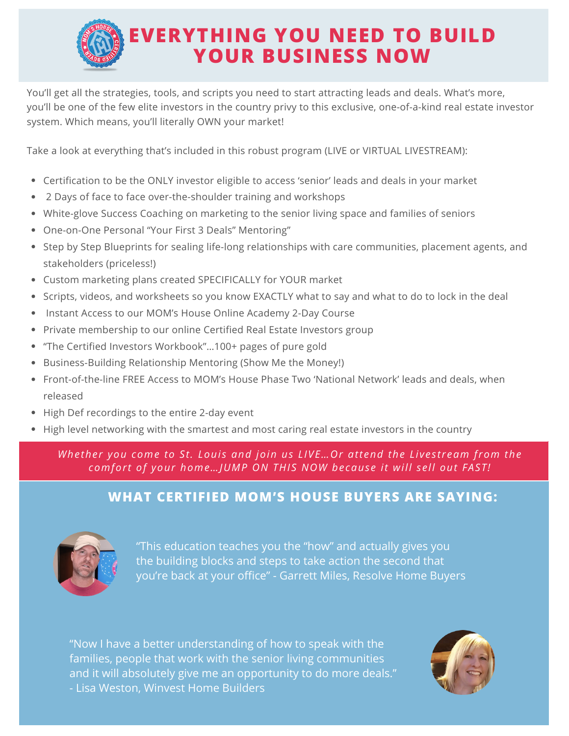

You'll get all the strategies, tools, and scripts you need to start attracting leads and deals. What's more, you'll be one of the few elite investors in the country privy to this exclusive, one-of-a-kind real estate investor system. Which means, you'll literally OWN your market!

Take a look at everything that's included in this robust program (LIVE or VIRTUAL LIVESTREAM):

- Certification to be the ONLY investor eligible to access 'senior' leads and deals in your market
- 2 Days of face to face over-the-shoulder training and workshops
- White-glove Success Coaching on marketing to the senior living space and families of seniors
- One-on-One Personal "Your First 3 Deals" Mentoring"
- Step by Step Blueprints for sealing life-long relationships with care communities, placement agents, and stakeholders (priceless!)
- Custom marketing plans created SPECIFICALLY for YOUR market
- Scripts, videos, and worksheets so you know EXACTLY what to say and what to do to lock in the deal
- Instant Access to our MOM's House Online Academy 2-Day Course
- Private membership to our online Certified Real Estate Investors group
- "The Certified Investors Workbook"…100+ pages of pure gold
- Business-Building Relationship Mentoring (Show Me the Money!)
- Front-of-the-line FREE Access to MOM's House Phase Two 'National Network' leads and deals, when released
- High Def recordings to the entire 2-day event
- High level networking with the smartest and most caring real estate investors in the country

*Whether you come to St. Loui s and join us LIVE…Or attend the Li ves tream from the comfort of your [home…JUMP](https://momshouse.com/certification-event/#order) ON THIS NOW because it will sell out FAST!*

#### **WHAT CERTIFIED MOM'S HOUSE BUYERS ARE SAYING:**



"This education teaches you the "how" and actually gives you the building blocks and steps to take action the second that you're back at your office" - Garrett Miles, Resolve Home Buyers

"Now I have a better understanding of how to speak with the families, people that work with the senior living communities and it will absolutely give me an opportunity to do more deals." - Lisa Weston, Winvest Home Builders